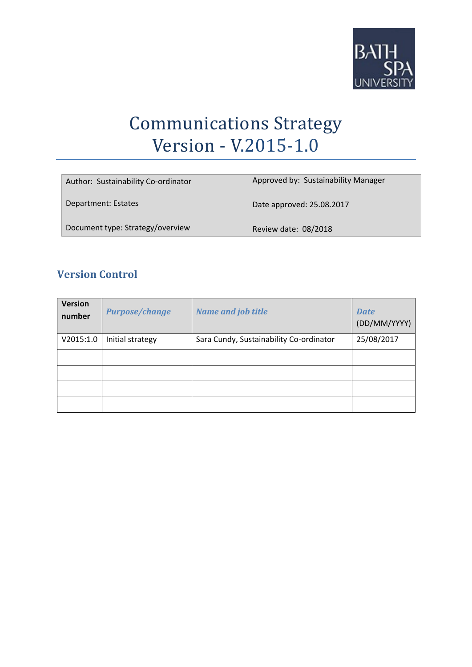

# Communications Strategy Version - V.2015-1.0

| Author: Sustainability Co-ordinator | Approved by: Sustainability Manager |
|-------------------------------------|-------------------------------------|
| Department: Estates                 | Date approved: 25.08.2017           |
| Document type: Strategy/overview    | Review date: 08/2018                |

## **Version Control**

| <b>Version</b><br>number | <b>Purpose/change</b> | <b>Name and job title</b>               | <b>Date</b><br>(DD/MM/YYYY) |
|--------------------------|-----------------------|-----------------------------------------|-----------------------------|
| V2015:1.0                | Initial strategy      | Sara Cundy, Sustainability Co-ordinator | 25/08/2017                  |
|                          |                       |                                         |                             |
|                          |                       |                                         |                             |
|                          |                       |                                         |                             |
|                          |                       |                                         |                             |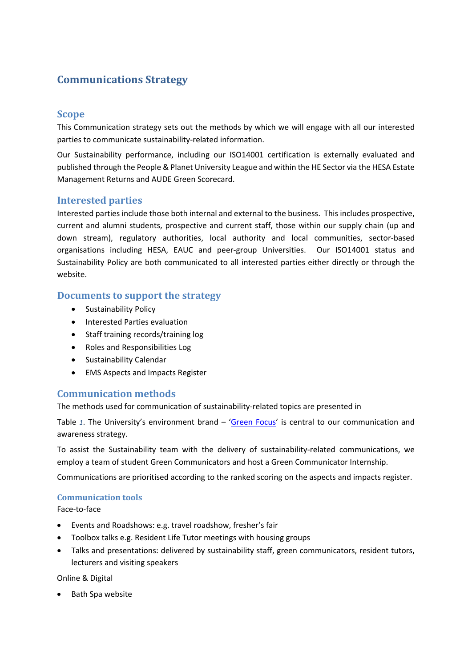# **Communications Strategy**

## **Scope**

This Communication strategy sets out the methods by which we will engage with all our interested parties to communicate sustainability‐related information.

Our Sustainability performance, including our ISO14001 certification is externally evaluated and published through the People & Planet University League and within the HE Sector via the HESA Estate Management Returns and AUDE Green Scorecard.

## **Interested parties**

Interested parties include those both internal and external to the business. This includes prospective, current and alumni students, prospective and current staff, those within our supply chain (up and down stream), regulatory authorities, local authority and local communities, sector-based organisations including HESA, EAUC and peer‐group Universities. Our ISO14001 status and Sustainability Policy are both communicated to all interested parties either directly or through the website.

## **Documents to support the strategy**

- **•** Sustainability Policy
- Interested Parties evaluation
- Staff training records/training log
- Roles and Responsibilities Log
- Sustainability Calendar
- EMS Aspects and Impacts Register

## **Communication methods**

The methods used for communication of sustainability-related topics are presented in

Table *1*. The University's environment brand – 'Green Focus' is central to our communication and awareness strategy.

To assist the Sustainability team with the delivery of sustainability-related communications, we employ a team of student Green Communicators and host a Green Communicator Internship.

Communications are prioritised according to the ranked scoring on the aspects and impacts register.

#### **Communication tools**

Face‐to‐face

- Events and Roadshows: e.g. travel roadshow, fresher's fair
- Toolbox talks e.g. Resident Life Tutor meetings with housing groups
- Talks and presentations: delivered by sustainability staff, green communicators, resident tutors, lecturers and visiting speakers

Online & Digital

• Bath Spa website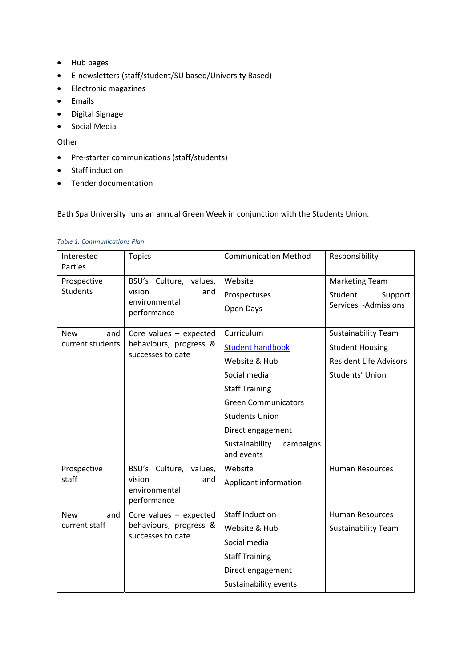- Hub pages
- E‐newsletters (staff/student/SU based/University Based)
- Electronic magazines
- Emails
- Digital Signage
- **•** Social Media

#### **Other**

- Pre-starter communications (staff/students)
- Staff induction
- Tender documentation

Bath Spa University runs an annual Green Week in conjunction with the Students Union.

| <b>Table 1. Communications Plan</b> |
|-------------------------------------|
|-------------------------------------|

| Interested<br>Parties                 | <b>Topics</b>                                                           | <b>Communication Method</b>                                                                                                                                                                                              | Responsibility                                                                                           |
|---------------------------------------|-------------------------------------------------------------------------|--------------------------------------------------------------------------------------------------------------------------------------------------------------------------------------------------------------------------|----------------------------------------------------------------------------------------------------------|
| Prospective<br><b>Students</b>        | BSU's Culture, values,<br>vision<br>and<br>environmental<br>performance | Website<br>Prospectuses<br>Open Days                                                                                                                                                                                     | <b>Marketing Team</b><br>Student<br>Support<br>Services -Admissions                                      |
| <b>New</b><br>and<br>current students | Core values $-$ expected<br>behaviours, progress &<br>successes to date | Curriculum<br><b>Student handbook</b><br>Website & Hub<br>Social media<br><b>Staff Training</b><br><b>Green Communicators</b><br><b>Students Union</b><br>Direct engagement<br>Sustainability<br>campaigns<br>and events | <b>Sustainability Team</b><br><b>Student Housing</b><br><b>Resident Life Advisors</b><br>Students' Union |
| Prospective<br>staff                  | BSU's Culture, values,<br>vision<br>and<br>environmental<br>performance | Website<br>Applicant information                                                                                                                                                                                         | <b>Human Resources</b>                                                                                   |
| <b>New</b><br>and<br>current staff    | Core values $-$ expected<br>behaviours, progress &<br>successes to date | <b>Staff Induction</b><br>Website & Hub<br>Social media<br><b>Staff Training</b><br>Direct engagement<br>Sustainability events                                                                                           | <b>Human Resources</b><br><b>Sustainability Team</b>                                                     |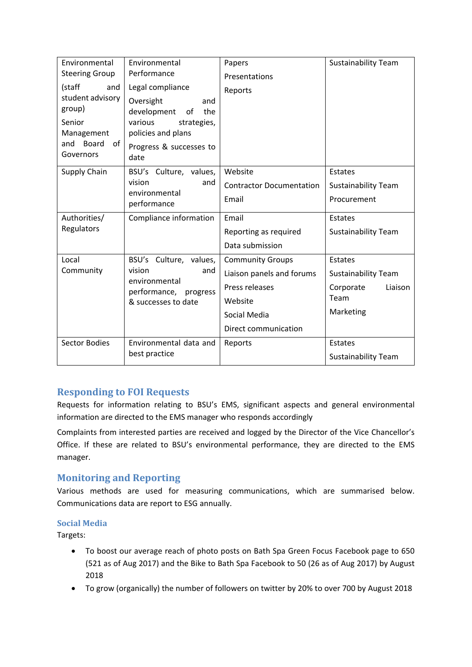| Environmental                | Environmental                                | Papers                          | <b>Sustainability Team</b> |
|------------------------------|----------------------------------------------|---------------------------------|----------------------------|
| <b>Steering Group</b>        | Performance                                  | Presentations                   |                            |
| (staff<br>and                | Legal compliance                             | Reports                         |                            |
| student advisory<br>group)   | Oversight<br>and<br>development<br>of<br>the |                                 |                            |
| Senior<br>Management         | various<br>strategies,<br>policies and plans |                                 |                            |
| and Board<br>of<br>Governors | Progress & successes to<br>date              |                                 |                            |
| Supply Chain                 | BSU's Culture, values,                       | Website                         | Estates                    |
|                              | vision<br>and                                | <b>Contractor Documentation</b> | <b>Sustainability Team</b> |
|                              | environmental<br>performance                 | Email                           | Procurement                |
| Authorities/                 | Compliance information                       | Email                           | Estates                    |
| Regulators                   |                                              | Reporting as required           | <b>Sustainability Team</b> |
|                              |                                              | Data submission                 |                            |
| Local                        | BSU's Culture, values,                       | <b>Community Groups</b>         | Estates                    |
| Community                    | vision<br>and<br>environmental               | Liaison panels and forums       | <b>Sustainability Team</b> |
|                              | performance,<br>progress                     | Press releases                  | Corporate<br>Liaison       |
|                              | & successes to date                          | Website                         | Team                       |
|                              |                                              | Social Media                    | Marketing                  |
|                              |                                              | Direct communication            |                            |
| <b>Sector Bodies</b>         | Environmental data and                       | Reports                         | Estates                    |
|                              | best practice                                |                                 | <b>Sustainability Team</b> |

## **Responding to FOI Requests**

Requests for information relating to BSU's EMS, significant aspects and general environmental information are directed to the EMS manager who responds accordingly

Complaints from interested parties are received and logged by the Director of the Vice Chancellor's Office. If these are related to BSU's environmental performance, they are directed to the EMS manager.

## **Monitoring** and **Reporting**

Various methods are used for measuring communications, which are summarised below. Communications data are report to ESG annually.

## **Social Media**

Targets:

- To boost our average reach of photo posts on Bath Spa Green Focus Facebook page to 650 (521 as of Aug 2017) and the Bike to Bath Spa Facebook to 50 (26 as of Aug 2017) by August 2018
- To grow (organically) the number of followers on twitter by 20% to over 700 by August 2018